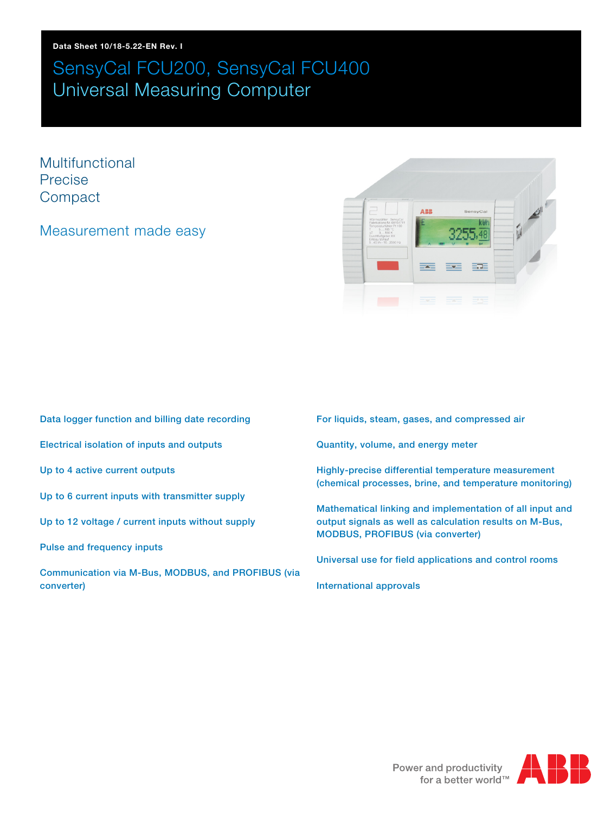Multifunctional Precise **Compact** 

## Measurement made easy



- Data logger function and billing date recording Electrical isolation of inputs and outputs Up to 4 active current outputs Up to 6 current inputs with transmitter supply Up to 12 voltage / current inputs without supply Pulse and frequency inputs
- Communication via M-Bus, MODBUS, and PROFIBUS (via converter)
- For liquids, steam, gases, and compressed air
- Quantity, volume, and energy meter
- Highly-precise differential temperature measurement (chemical processes, brine, and temperature monitoring)
- Mathematical linking and implementation of all input and output signals as well as calculation results on M-Bus, MODBUS, PROFIBUS (via converter)
- Universal use for field applications and control rooms
- International approvals

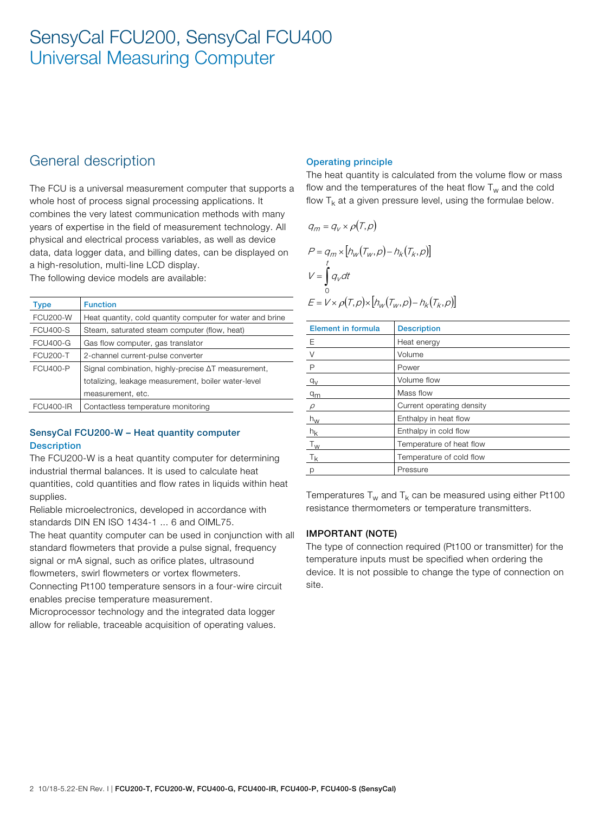## General description

The FCU is a universal measurement computer that supports a whole host of process signal processing applications. It combines the very latest communication methods with many years of expertise in the field of measurement technology. All physical and electrical process variables, as well as device data, data logger data, and billing dates, can be displayed on a high-resolution, multi-line LCD display.

The following device models are available:

| Type            | <b>Function</b>                                            |
|-----------------|------------------------------------------------------------|
| <b>FCU200-W</b> | Heat quantity, cold quantity computer for water and brine  |
| <b>FCU400-S</b> | Steam, saturated steam computer (flow, heat)               |
| <b>FCU400-G</b> | Gas flow computer, gas translator                          |
| <b>FCU200-T</b> | 2-channel current-pulse converter                          |
| <b>FCU400-P</b> | Signal combination, highly-precise $\Delta T$ measurement, |
|                 | totalizing, leakage measurement, boiler water-level        |
|                 | measurement, etc.                                          |
| FCU400-IR       | Contactless temperature monitoring                         |

## SensyCal FCU200-W – Heat quantity computer **Description**

The FCU200-W is a heat quantity computer for determining industrial thermal balances. It is used to calculate heat quantities, cold quantities and flow rates in liquids within heat supplies.

Reliable microelectronics, developed in accordance with standards DIN EN ISO 1434-1 ... 6 and OIML75.

The heat quantity computer can be used in conjunction with all standard flowmeters that provide a pulse signal, frequency signal or mA signal, such as orifice plates, ultrasound flowmeters, swirl flowmeters or vortex flowmeters.

Connecting Pt100 temperature sensors in a four-wire circuit enables precise temperature measurement.

Microprocessor technology and the integrated data logger allow for reliable, traceable acquisition of operating values.

## Operating principle

The heat quantity is calculated from the volume flow or mass flow and the temperatures of the heat flow  $T_w$  and the cold flow  $T_k$  at a given pressure level, using the formulae below.

$$
q_m = q_v \times \rho(T, \rho)
$$
  
\n
$$
P = q_m \times [h_w(T_w, \rho) - h_k(T_k, \rho)]
$$
  
\n
$$
V = \int_0^t q_v dt
$$
  
\n
$$
E = V \times \rho(T, \rho) \times [h_w(T_w, \rho) - h_k(T_k, \rho)]
$$

| <b>Element in formula</b> | <b>Description</b>        |
|---------------------------|---------------------------|
| E                         | Heat energy               |
| $\vee$                    | Volume                    |
| $\mathsf{P}$              | Power                     |
| $q_V$                     | Volume flow               |
| q <sub>m</sub>            | Mass flow                 |
| $\rho$                    | Current operating density |
| $h_{\rm W}$               | Enthalpy in heat flow     |
| $h_k$                     | Enthalpy in cold flow     |
| $T_W$                     | Temperature of heat flow  |
| $T_{k}$                   | Temperature of cold flow  |
| р                         | Pressure                  |

Temperatures  $T_w$  and  $T_k$  can be measured using either Pt100 resistance thermometers or temperature transmitters.

### IMPORTANT (NOTE)

The type of connection required (Pt100 or transmitter) for the temperature inputs must be specified when ordering the device. It is not possible to change the type of connection on site.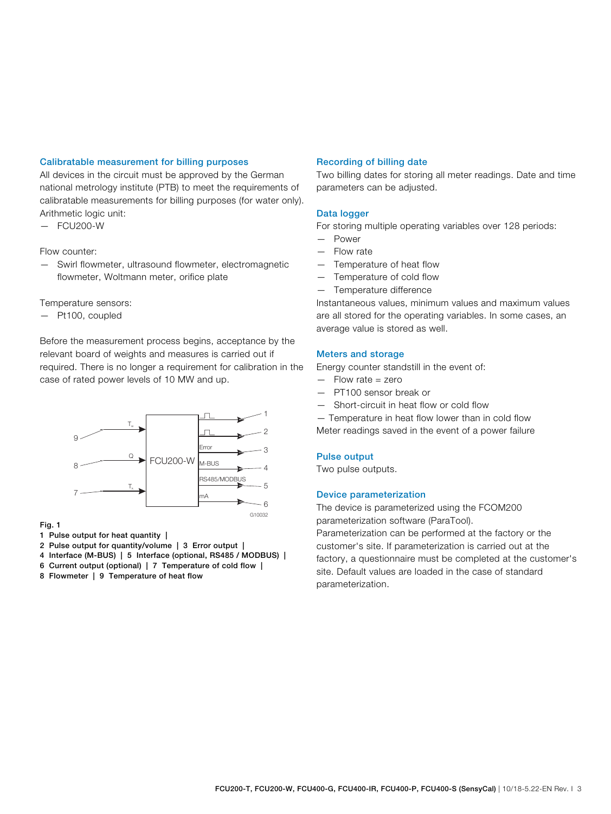#### Calibratable measurement for billing purposes

All devices in the circuit must be approved by the German national metrology institute (PTB) to meet the requirements of calibratable measurements for billing purposes (for water only). Arithmetic logic unit:

— FCU200-W

#### Flow counter:

— Swirl flowmeter, ultrasound flowmeter, electromagnetic flowmeter, Woltmann meter, orifice plate

Temperature sensors:

— Pt100, coupled

Before the measurement process begins, acceptance by the relevant board of weights and measures is carried out if required. There is no longer a requirement for calibration in the case of rated power levels of 10 MW and up.



#### Fig. 1

1 Pulse output for heat quantity |

- 2 Pulse output for quantity/volume | 3 Error output |
- 4 Interface (M-BUS) | 5 Interface (optional, RS485 / MODBUS) |
- 6 Current output (optional) | 7 Temperature of cold flow |
- 8 Flowmeter | 9 Temperature of heat flow

#### Recording of billing date

Two billing dates for storing all meter readings. Date and time parameters can be adjusted.

#### Data logger

For storing multiple operating variables over 128 periods:

- Power
- Flow rate
- Temperature of heat flow
- Temperature of cold flow
- Temperature difference

Instantaneous values, minimum values and maximum values are all stored for the operating variables. In some cases, an average value is stored as well.

#### Meters and storage

Energy counter standstill in the event of:

- Flow rate = zero
- PT100 sensor break or
- Short-circuit in heat flow or cold flow

— Temperature in heat flow lower than in cold flow Meter readings saved in the event of a power failure

#### Pulse output

Two pulse outputs.

#### Device parameterization

The device is parameterized using the FCOM200 parameterization software (ParaTool).

Parameterization can be performed at the factory or the customer's site. If parameterization is carried out at the factory, a questionnaire must be completed at the customer's site. Default values are loaded in the case of standard parameterization.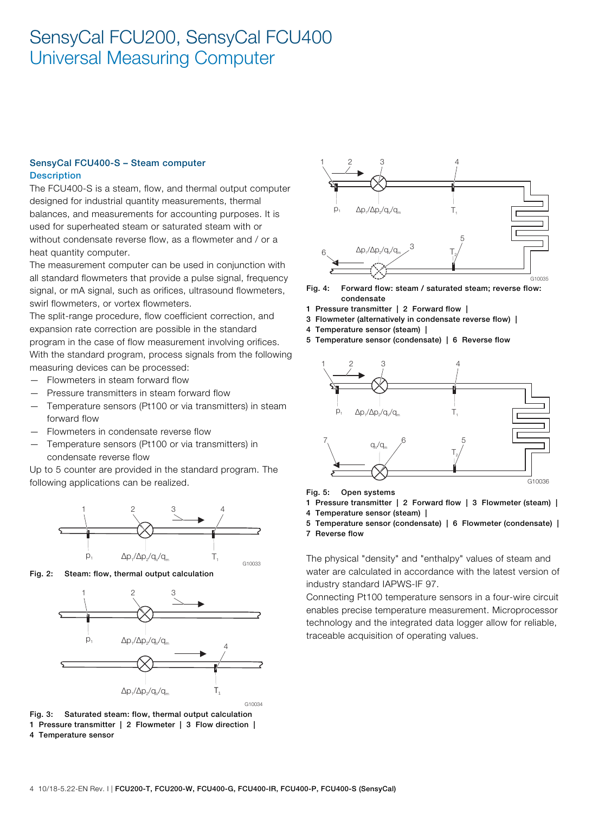#### SensyCal FCU400-S – Steam computer **Description**

The FCU400-S is a steam, flow, and thermal output computer designed for industrial quantity measurements, thermal balances, and measurements for accounting purposes. It is used for superheated steam or saturated steam with or without condensate reverse flow, as a flowmeter and / or a heat quantity computer.

The measurement computer can be used in conjunction with all standard flowmeters that provide a pulse signal, frequency signal, or mA signal, such as orifices, ultrasound flowmeters, swirl flowmeters, or vortex flowmeters.

The split-range procedure, flow coefficient correction, and expansion rate correction are possible in the standard program in the case of flow measurement involving orifices. With the standard program, process signals from the following measuring devices can be processed:

- Flowmeters in steam forward flow
- Pressure transmitters in steam forward flow
- Temperature sensors (Pt100 or via transmitters) in steam forward flow
- Flowmeters in condensate reverse flow
- Temperature sensors (Pt100 or via transmitters) in condensate reverse flow

Up to 5 counter are provided in the standard program. The following applications can be realized.







Fig. 3: Saturated steam: flow, thermal output calculation 1 Pressure transmitter | 2 Flowmeter | 3 Flow direction |

4 Temperature sensor



Fig. 4: Forward flow: steam / saturated steam; reverse flow: condensate

- 1 Pressure transmitter | 2 Forward flow |
- 3 Flowmeter (alternatively in condensate reverse flow) |
- 4 Temperature sensor (steam) |
- 5 Temperature sensor (condensate) | 6 Reverse flow



Fig. 5: Open systems

- 1 Pressure transmitter | 2 Forward flow | 3 Flowmeter (steam) |
- 4 Temperature sensor (steam) |
- 5 Temperature sensor (condensate) | 6 Flowmeter (condensate) |

7 Reverse flow

The physical "density" and "enthalpy" values of steam and water are calculated in accordance with the latest version of industry standard IAPWS-IF 97.

Connecting Pt100 temperature sensors in a four-wire circuit enables precise temperature measurement. Microprocessor technology and the integrated data logger allow for reliable, traceable acquisition of operating values.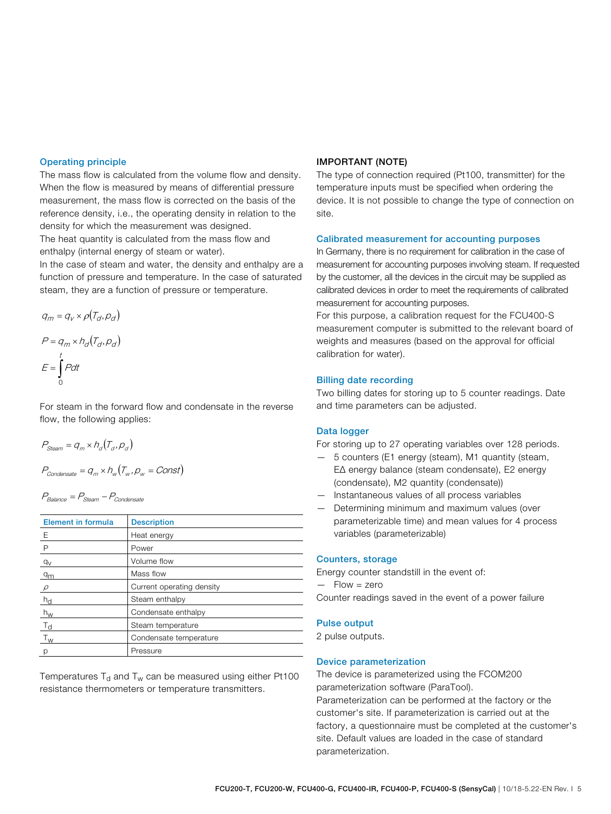#### Operating principle

The mass flow is calculated from the volume flow and density. When the flow is measured by means of differential pressure measurement, the mass flow is corrected on the basis of the reference density, i.e., the operating density in relation to the density for which the measurement was designed.

The heat quantity is calculated from the mass flow and enthalpy (internal energy of steam or water).

In the case of steam and water, the density and enthalpy are a function of pressure and temperature. In the case of saturated steam, they are a function of pressure or temperature.

$$
q_m = q_v \times \rho(T_d, \rho_d)
$$

$$
P = q_m \times h_d(T_d, \rho_d)
$$

$$
E = \int_0^t P dt
$$

For steam in the forward flow and condensate in the reverse flow, the following applies:

$$
P_{Steam} = q_m \times h_d(T_d, p_d)
$$

$$
P_{condensate} = q_m \times h_w(T_w, p_w = Const)
$$

 $P_{Balance} = P_{Steam} - P_{Condense}$ 

| <b>Element in formula</b> | <b>Description</b>        |
|---------------------------|---------------------------|
| E                         | Heat energy               |
| $\mathsf{P}$              | Power                     |
| $q_V$                     | Volume flow               |
| q <sub>m</sub>            | Mass flow                 |
| $\varrho$                 | Current operating density |
| $h_{d}$                   | Steam enthalpy            |
| $h_{\rm W}$               | Condensate enthalpy       |
| $T_{\rm d}$               | Steam temperature         |
| $T_{w}$                   | Condensate temperature    |
| р                         | Pressure                  |

Temperatures  $T_d$  and  $T_w$  can be measured using either Pt100 resistance thermometers or temperature transmitters.

#### IMPORTANT (NOTE)

The type of connection required (Pt100, transmitter) for the temperature inputs must be specified when ordering the device. It is not possible to change the type of connection on site.

#### Calibrated measurement for accounting purposes

In Germany, there is no requirement for calibration in the case of measurement for accounting purposes involving steam. If requested by the customer, all the devices in the circuit may be supplied as calibrated devices in order to meet the requirements of calibrated measurement for accounting purposes.

For this purpose, a calibration request for the FCU400-S measurement computer is submitted to the relevant board of weights and measures (based on the approval for official calibration for water).

#### Billing date recording

Two billing dates for storing up to 5 counter readings. Date and time parameters can be adjusted.

#### Data logger

For storing up to 27 operating variables over 128 periods.

- 5 counters (E1 energy (steam), M1 quantity (steam, EΔ energy balance (steam condensate), E2 energy (condensate), M2 quantity (condensate))
- Instantaneous values of all process variables
- Determining minimum and maximum values (over parameterizable time) and mean values for 4 process variables (parameterizable)

#### Counters, storage

Energy counter standstill in the event of:  $-$  Flow = zero Counter readings saved in the event of a power failure

#### Pulse output

2 pulse outputs.

#### Device parameterization

The device is parameterized using the FCOM200 parameterization software (ParaTool). Parameterization can be performed at the factory or the customer's site. If parameterization is carried out at the factory, a questionnaire must be completed at the customer's site. Default values are loaded in the case of standard parameterization.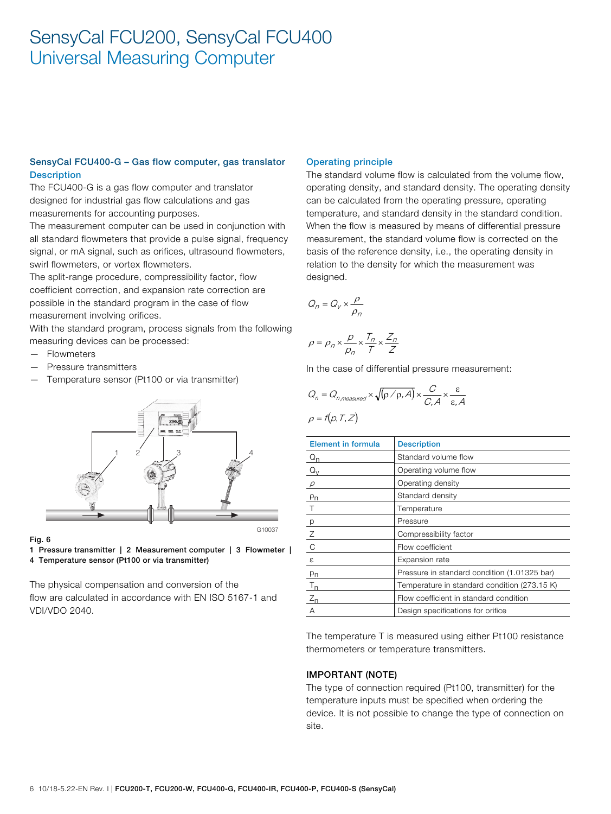## SensyCal FCU400-G – Gas flow computer, gas translator **Description**

The FCU400-G is a gas flow computer and translator designed for industrial gas flow calculations and gas measurements for accounting purposes.

The measurement computer can be used in conjunction with all standard flowmeters that provide a pulse signal, frequency signal, or mA signal, such as orifices, ultrasound flowmeters, swirl flowmeters, or vortex flowmeters.

The split-range procedure, compressibility factor, flow coefficient correction, and expansion rate correction are possible in the standard program in the case of flow measurement involving orifices.

With the standard program, process signals from the following measuring devices can be processed:

- Flowmeters
- Pressure transmitters
- Temperature sensor (Pt100 or via transmitter)



#### Fig. 6

1 Pressure transmitter | 2 Measurement computer | 3 Flowmeter | 4 Temperature sensor (Pt100 or via transmitter)

The physical compensation and conversion of the flow are calculated in accordance with EN ISO 5167-1 and VDI/VDO 2040.

#### Operating principle

The standard volume flow is calculated from the volume flow, operating density, and standard density. The operating density can be calculated from the operating pressure, operating temperature, and standard density in the standard condition. When the flow is measured by means of differential pressure measurement, the standard volume flow is corrected on the basis of the reference density, i.e., the operating density in relation to the density for which the measurement was designed.

$$
Q_n = Q_V \times \frac{\rho}{\rho_n}
$$

$$
\rho = \rho_n \times \frac{p}{\rho_n} \times \frac{T_n}{T} \times \frac{Z_n}{Z}
$$

In the case of differential pressure measurement:

$$
Q_n = Q_{n,measured} \times \sqrt{(\rho / \rho, A)} \times \frac{C}{C, A} \times \frac{\varepsilon}{\varepsilon, A}
$$

$$
\rho = f(\rho, T, Z)
$$

| <b>Element in formula</b>             | <b>Description</b>                           |
|---------------------------------------|----------------------------------------------|
| $\mathsf{Q}_{\underline{\mathsf{D}}}$ | Standard volume flow                         |
| $Q_V$                                 | Operating volume flow                        |
| $\rho$                                | Operating density                            |
| $\rho_n$                              | Standard density                             |
| $\top$                                | Temperature                                  |
| p                                     | Pressure                                     |
| $\mathsf Z$                           | Compressibility factor                       |
| C                                     | Flow coefficient                             |
| ε                                     | Expansion rate                               |
| $p_{n}$                               | Pressure in standard condition (1.01325 bar) |
| $T_{n}$                               | Temperature in standard condition (273.15 K) |
| $Z_{n}$                               | Flow coefficient in standard condition       |
| $\overline{A}$                        | Design specifications for orifice            |

The temperature T is measured using either Pt100 resistance thermometers or temperature transmitters.

#### IMPORTANT (NOTE)

The type of connection required (Pt100, transmitter) for the temperature inputs must be specified when ordering the device. It is not possible to change the type of connection on site.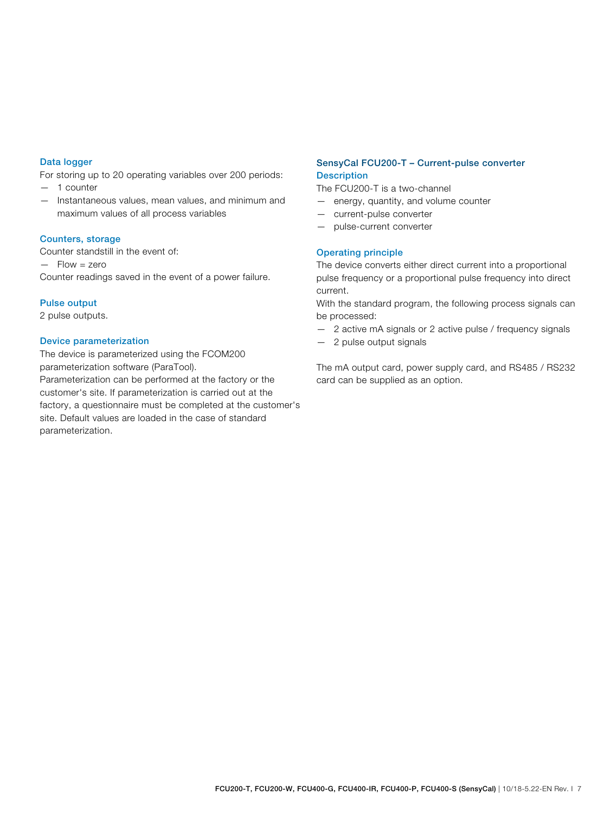### Data logger

For storing up to 20 operating variables over 200 periods:

- 1 counter
- Instantaneous values, mean values, and minimum and maximum values of all process variables

#### Counters, storage

Counter standstill in the event of:  $-$  Flow  $=$  zero Counter readings saved in the event of a power failure.

#### Pulse output

2 pulse outputs.

#### Device parameterization

The device is parameterized using the FCOM200 parameterization software (ParaTool). Parameterization can be performed at the factory or the customer's site. If parameterization is carried out at the factory, a questionnaire must be completed at the customer's site. Default values are loaded in the case of standard parameterization.

### SensyCal FCU200-T – Current-pulse converter **Description**

The FCU200-T is a two-channel

- energy, quantity, and volume counter
- current-pulse converter
- pulse-current converter

#### Operating principle

The device converts either direct current into a proportional pulse frequency or a proportional pulse frequency into direct current.

With the standard program, the following process signals can be processed:

- 2 active mA signals or 2 active pulse / frequency signals
- 2 pulse output signals

The mA output card, power supply card, and RS485 / RS232 card can be supplied as an option.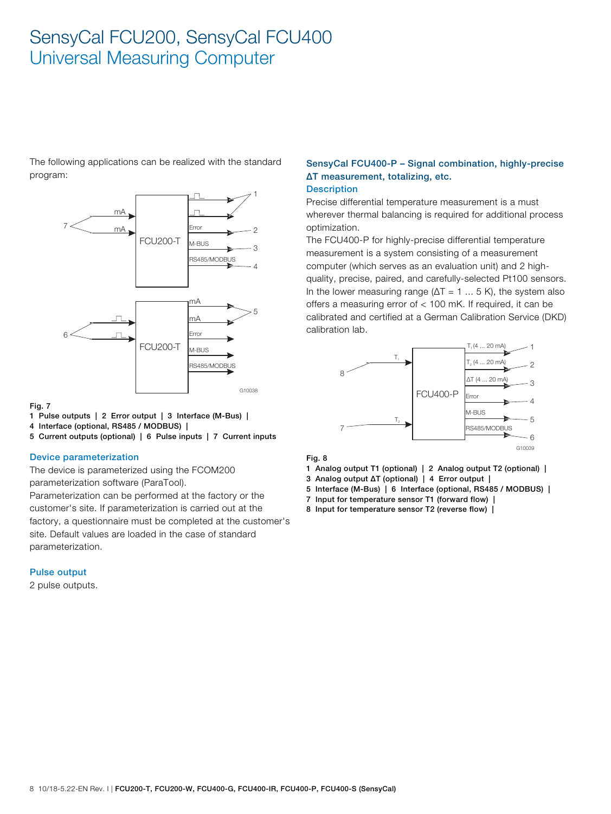The following applications can be realized with the standard program:



#### Fig. 7

- 1 Pulse outputs | 2 Error output | 3 Interface (M-Bus) |
- 4 Interface (optional, RS485 / MODBUS) |
- 5 Current outputs (optional) | 6 Pulse inputs | 7 Current inputs

#### Device parameterization

The device is parameterized using the FCOM200 parameterization software (ParaTool).

Parameterization can be performed at the factory or the customer's site. If parameterization is carried out at the factory, a questionnaire must be completed at the customer's site. Default values are loaded in the case of standard parameterization.

#### Pulse output

2 pulse outputs.

## SensyCal FCU400-P – Signal combination, highly-precise ΔT measurement, totalizing, etc.

## Description

Precise differential temperature measurement is a must wherever thermal balancing is required for additional process optimization.

The FCU400-P for highly-precise differential temperature measurement is a system consisting of a measurement computer (which serves as an evaluation unit) and 2 highquality, precise, paired, and carefully-selected Pt100 sensors. In the lower measuring range ( $\Delta T = 1$  ... 5 K), the system also offers a measuring error of < 100 mK. If required, it can be calibrated and certified at a German Calibration Service (DKD) calibration lab.



#### Fig. 8

- 1 Analog output T1 (optional) | 2 Analog output T2 (optional) |
- 3 Analog output ΔT (optional) | 4 Error output |
- 5 Interface (M-Bus) | 6 Interface (optional, RS485 / MODBUS) |
- 7 Input for temperature sensor T1 (forward flow) |
- 8 Input for temperature sensor T2 (reverse flow) |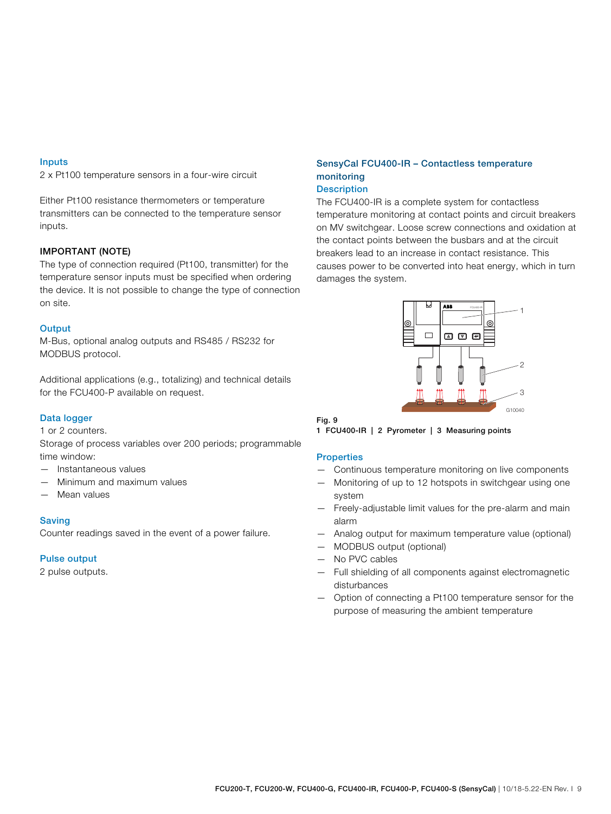#### Inputs

2 x Pt100 temperature sensors in a four-wire circuit

Either Pt100 resistance thermometers or temperature transmitters can be connected to the temperature sensor inputs.

### IMPORTANT (NOTE)

The type of connection required (Pt100, transmitter) for the temperature sensor inputs must be specified when ordering the device. It is not possible to change the type of connection on site.

#### **Output**

M-Bus, optional analog outputs and RS485 / RS232 for MODBUS protocol.

Additional applications (e.g., totalizing) and technical details for the FCU400-P available on request.

### Data logger

1 or 2 counters.

Storage of process variables over 200 periods; programmable time window:

- Instantaneous values
- Minimum and maximum values
- Mean values

#### Saving

Counter readings saved in the event of a power failure.

#### Pulse output

2 pulse outputs.

## SensyCal FCU400-IR – Contactless temperature monitoring

### **Description**

The FCU400-IR is a complete system for contactless temperature monitoring at contact points and circuit breakers on MV switchgear. Loose screw connections and oxidation at the contact points between the busbars and at the circuit breakers lead to an increase in contact resistance. This causes power to be converted into heat energy, which in turn damages the system.



#### Fig. 9

1 FCU400-IR | 2 Pyrometer | 3 Measuring points

#### **Properties**

- Continuous temperature monitoring on live components
- Monitoring of up to 12 hotspots in switchgear using one system
- Freely-adjustable limit values for the pre-alarm and main alarm
- Analog output for maximum temperature value (optional)
- MODBUS output (optional)
- No PVC cables
- Full shielding of all components against electromagnetic disturbances
- Option of connecting a Pt100 temperature sensor for the purpose of measuring the ambient temperature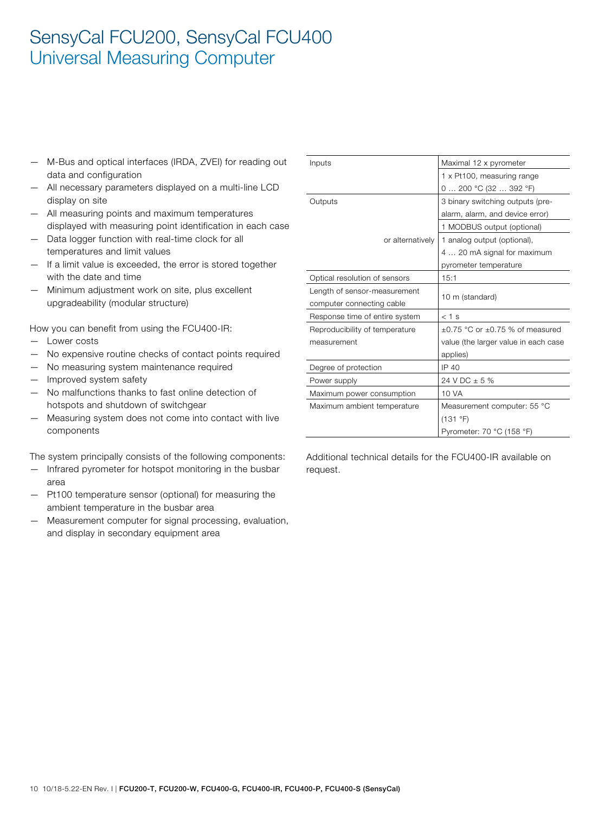- M-Bus and optical interfaces (IRDA, ZVEI) for reading out data and configuration
- All necessary parameters displayed on a multi-line LCD display on site
- All measuring points and maximum temperatures displayed with measuring point identification in each case
- Data logger function with real-time clock for all temperatures and limit values
- If a limit value is exceeded, the error is stored together with the date and time
- Minimum adjustment work on site, plus excellent upgradeability (modular structure)

How you can benefit from using the FCU400-IR:

- Lower costs
- No expensive routine checks of contact points required
- No measuring system maintenance required
- Improved system safety
- No malfunctions thanks to fast online detection of hotspots and shutdown of switchgear
- Measuring system does not come into contact with live components

The system principally consists of the following components:

- Infrared pyrometer for hotspot monitoring in the busbar area
- Pt100 temperature sensor (optional) for measuring the ambient temperature in the busbar area
- Measurement computer for signal processing, evaluation, and display in secondary equipment area

| Inputs                         | Maximal 12 x pyrometer               |
|--------------------------------|--------------------------------------|
|                                | 1 x Pt100, measuring range           |
|                                | 0  200 °C (32  392 °F)               |
| Outputs                        | 3 binary switching outputs (pre-     |
|                                | alarm, alarm, and device error)      |
|                                | 1 MODBUS output (optional)           |
| or alternatively               | 1 analog output (optional),          |
|                                | 4  20 mA signal for maximum          |
|                                | pyrometer temperature                |
| Optical resolution of sensors  | 15:1                                 |
| Length of sensor-measurement   | 10 m (standard)                      |
| computer connecting cable      |                                      |
| Response time of entire system | $< 1$ s                              |
| Reproducibility of temperature | $+0.75$ °C or $+0.75$ % of measured  |
| measurement                    | value (the larger value in each case |
|                                | applies)                             |
| Degree of protection           | IP 40                                |
| Power supply                   | 24 V DC $\pm$ 5 %                    |
| Maximum power consumption      | 10 VA                                |
| Maximum ambient temperature    | Measurement computer: 55 °C          |
|                                | (131 °F)                             |
|                                | Pyrometer: 70 °C (158 °F)            |

Additional technical details for the FCU400-IR available on request.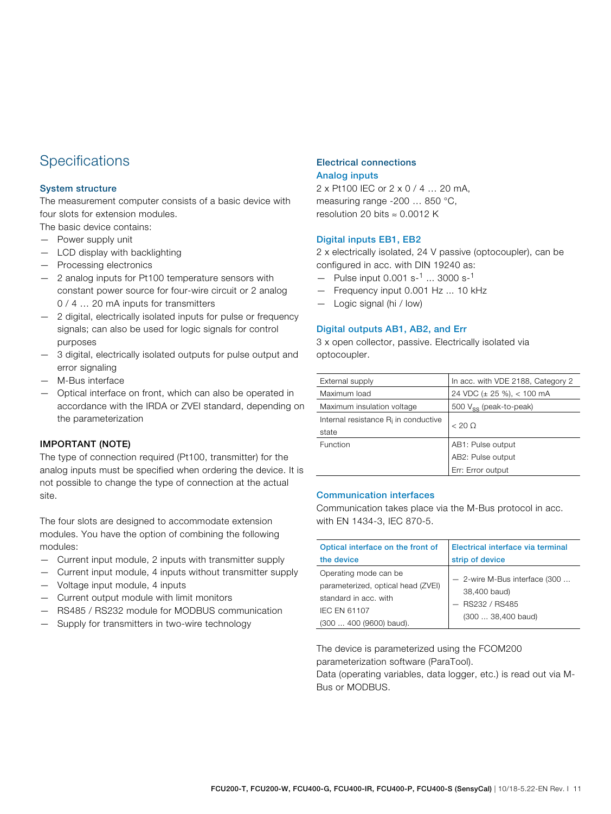## **Specifications**

### System structure

The measurement computer consists of a basic device with four slots for extension modules.

The basic device contains:

- Power supply unit
- LCD display with backlighting
- Processing electronics
- 2 analog inputs for Pt100 temperature sensors with constant power source for four-wire circuit or 2 analog 0 / 4 ... 20 mA inputs for transmitters
- 2 digital, electrically isolated inputs for pulse or frequency signals; can also be used for logic signals for control purposes
- 3 digital, electrically isolated outputs for pulse output and error signaling
- M-Bus interface
- Optical interface on front, which can also be operated in accordance with the IRDA or ZVEI standard, depending on the parameterization

### IMPORTANT (NOTE)

The type of connection required (Pt100, transmitter) for the analog inputs must be specified when ordering the device. It is not possible to change the type of connection at the actual site.

The four slots are designed to accommodate extension modules. You have the option of combining the following modules:

- Current input module, 2 inputs with transmitter supply
- Current input module, 4 inputs without transmitter supply — Voltage input module, 4 inputs
- Current output module with limit monitors
- RS485 / RS232 module for MODBUS communication
- Supply for transmitters in two-wire technology

### Electrical connections Analog inputs

2 x Pt100 IEC or 2 x 0 / 4 … 20 mA, measuring range -200 … 850 °C, resolution 20 bits ≈ 0.0012 K

### Digital inputs EB1, EB2

2 x electrically isolated, 24 V passive (optocoupler), can be configured in acc. with DIN 19240 as:

- Pulse input  $0.001$  s<sup>-1</sup> ... 3000 s<sup>-1</sup>
- Frequency input 0.001 Hz ... 10 kHz
- Logic signal (hi / low)

#### Digital outputs AB1, AB2, and Err

3 x open collector, passive. Electrically isolated via optocoupler.

| External supply                         | In acc. with VDE 2188, Category 2  |
|-----------------------------------------|------------------------------------|
| Maximum load                            | 24 VDC (± 25 %), < 100 mA          |
| Maximum insulation voltage              | 500 V <sub>ss</sub> (peak-to-peak) |
| Internal resistance $R_i$ in conductive | $< 20$ Q                           |
| state                                   |                                    |
| Function                                | AB1: Pulse output                  |
|                                         | AB2: Pulse output                  |
|                                         | Err: Error output                  |

#### Communication interfaces

Communication takes place via the M-Bus protocol in acc. with EN 1434-3, IEC 870-5.

| Optical interface on the front of                                                                                                      | Electrical interface via terminal                                                        |
|----------------------------------------------------------------------------------------------------------------------------------------|------------------------------------------------------------------------------------------|
| the device                                                                                                                             | strip of device                                                                          |
| Operating mode can be<br>parameterized, optical head (ZVEI)<br>standard in acc. with<br><b>IEC EN 61107</b><br>(300  400 (9600) baud). | - 2-wire M-Bus interface (300<br>38,400 baud)<br>$-$ RS232 / RS485<br>(300  38,400 baud) |

The device is parameterized using the FCOM200 parameterization software (ParaTool).

Data (operating variables, data logger, etc.) is read out via M-Bus or MODBUS.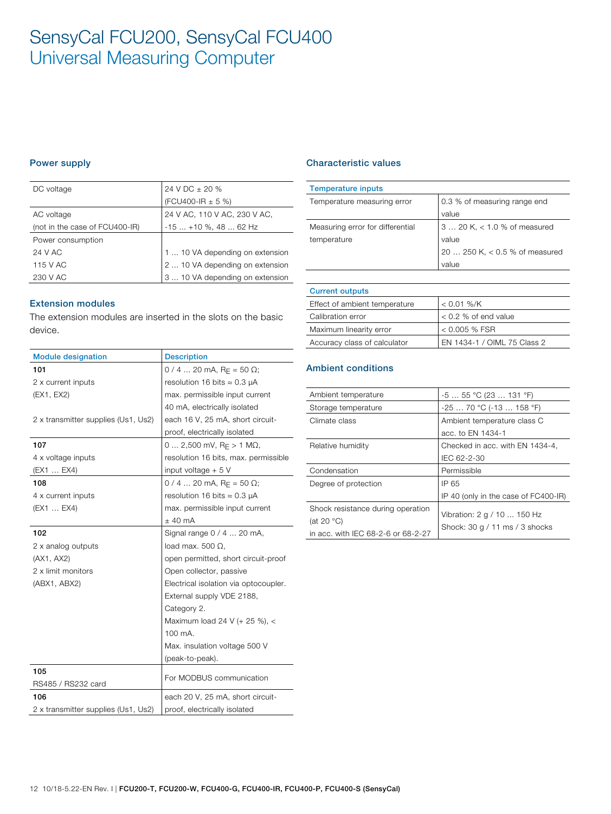### Power supply

| DC voltage                     | 24 V DC ± 20 %                  |
|--------------------------------|---------------------------------|
|                                | (FCU400-IR $\pm$ 5 %)           |
| AC voltage                     | 24 V AC, 110 V AC, 230 V AC,    |
| (not in the case of FCU400-IR) | $-15+10$ %, 48  62 Hz           |
| Power consumption              |                                 |
| 24 V AC                        | 1  10 VA depending on extension |
| 115 V AC                       | 2  10 VA depending on extension |
| 230 V AC                       | 3  10 VA depending on extension |

#### Extension modules

The extension modules are inserted in the slots on the basic device.

| <b>Module designation</b>           | <b>Description</b>                          |
|-------------------------------------|---------------------------------------------|
| 101                                 | $0/4$ 20 mA, R <sub>F</sub> = 50 $\Omega$ ; |
| 2 x current inputs                  | resolution 16 bits $\approx 0.3$ µA         |
| (EX1, EX2)                          | max. permissible input current              |
|                                     | 40 mA, electrically isolated                |
| 2 x transmitter supplies (Us1, Us2) | each 16 V, 25 mA, short circuit-            |
|                                     | proof, electrically isolated                |
| 107                                 | 0  2,500 mV, $R_F > 1$ M $\Omega$ ,         |
| 4 x voltage inputs                  | resolution 16 bits, max. permissible        |
| (EX1  EX4)                          | input voltage + 5 V                         |
| 108                                 | $0/4$ 20 mA, R <sub>F</sub> = 50 $\Omega$ ; |
| 4 x current inputs                  | resolution 16 bits $\approx$ 0.3 µA         |
| (EX1  EX4)                          | max. permissible input current              |
|                                     | $±$ 40 mA                                   |
| 102                                 | Signal range 0 / 4  20 mA,                  |
| 2 x analog outputs                  | load max. 500 $\Omega$ ,                    |
| (AX1, AX2)                          | open permitted, short circuit-proof         |
| 2 x limit monitors                  | Open collector, passive                     |
| (ABX1, ABX2)                        | Electrical isolation via optocoupler.       |
|                                     | External supply VDE 2188,                   |
|                                     | Category 2.                                 |
|                                     | Maximum load 24 V (+ 25 %), <               |
|                                     | 100 mA.                                     |
|                                     | Max. insulation voltage 500 V               |
|                                     | (peak-to-peak).                             |
| 105                                 | For MODBUS communication                    |
| RS485 / RS232 card                  |                                             |
| 106                                 | each 20 V, 25 mA, short circuit-            |
| 2 x transmitter supplies (Us1, Us2) | proof, electrically isolated                |

### Characteristic values

| <b>Temperature inputs</b>        |                                |
|----------------------------------|--------------------------------|
| Temperature measuring error      | 0.3 % of measuring range end   |
|                                  | value                          |
| Measuring error for differential | $3 20 K1 < 1.0 % of measured$  |
| temperature                      | value                          |
|                                  | 20  250 K, < 0.5 % of measured |
|                                  | value                          |
|                                  |                                |

# Current outputs

| Effect of ambient temperature | $< 0.01$ %/K                |
|-------------------------------|-----------------------------|
| Calibration error             | $< 0.2$ % of end value      |
| Maximum linearity error       | $< 0.005$ % FSR             |
| Accuracy class of calculator  | EN 1434-1 / OIML 75 Class 2 |

## Ambient conditions

| Ambient temperature                | $-555$ °C (23  131 °F)               |
|------------------------------------|--------------------------------------|
| Storage temperature                | $-2570 °C (-13158 °F)$               |
| Climate class                      | Ambient temperature class C          |
|                                    | acc. to EN 1434-1                    |
| Relative humidity                  | Checked in acc. with EN 1434-4,      |
|                                    | IEC 62-2-30                          |
| Condensation                       | Permissible                          |
| Degree of protection               | IP 65                                |
|                                    | IP 40 (only in the case of FC400-IR) |
| Shock resistance during operation  |                                      |
| (at 20 $°C$ )                      | Vibration: 2 g / 10  150 Hz          |
| in acc. with IEC 68-2-6 or 68-2-27 | Shock: $30 g / 11 ms / 3$ shocks     |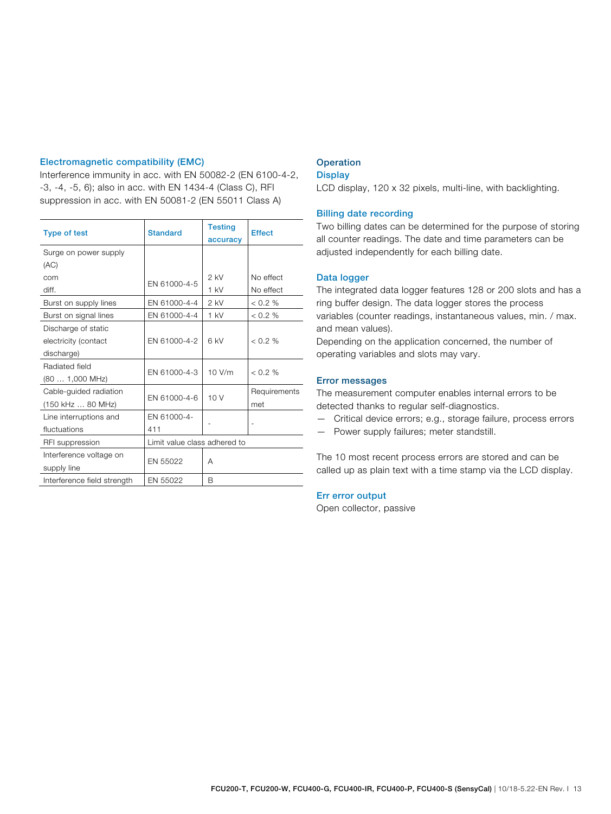### Electromagnetic compatibility (EMC)

Interference immunity in acc. with EN 50082-2 (EN 6100-4-2, -3, -4, -5, 6); also in acc. with EN 1434-4 (Class C), RFI suppression in acc. with EN 50081-2 (EN 55011 Class A)

| <b>Type of test</b>         | <b>Standard</b> | <b>Testing</b><br>accuracy   | <b>Effect</b> |  |
|-----------------------------|-----------------|------------------------------|---------------|--|
| Surge on power supply       |                 |                              |               |  |
| (AC)                        |                 |                              |               |  |
| com                         | EN 61000-4-5    | $2$ kV                       | No effect     |  |
| diff.                       |                 | $1$ kV                       | No effect     |  |
| Burst on supply lines       | EN 61000-4-4    | $2$ kV                       | $0.2\%$       |  |
| Burst on signal lines       | EN 61000-4-4    | 1 kV                         | < 0.2 %       |  |
| Discharge of static         |                 |                              |               |  |
| electricity (contact        | EN 61000-4-2    | 6 kV                         | $< 0.2 \%$    |  |
| discharge)                  |                 |                              |               |  |
| Radiated field              |                 |                              | $< 0.2 \%$    |  |
| (80 1,000 MHz)              | EN 61000-4-3    | 10 V/m                       |               |  |
| Cable-quided radiation      |                 | 10V                          | Requirements  |  |
| (150 kHz  80 MHz)           | EN 61000-4-6    |                              | met           |  |
| Line interruptions and      | EN 61000-4-     |                              |               |  |
| fluctuations                | 411             |                              |               |  |
| RFI suppression             |                 | Limit value class adhered to |               |  |
| Interference voltage on     |                 |                              |               |  |
| supply line                 | EN 55022        | А                            |               |  |
| Interference field strength | EN 55022        | <sub>R</sub>                 |               |  |

## **Operation**

## **Display**

LCD display, 120 x 32 pixels, multi-line, with backlighting.

#### Billing date recording

Two billing dates can be determined for the purpose of storing all counter readings. The date and time parameters can be adjusted independently for each billing date.

#### Data logger

The integrated data logger features 128 or 200 slots and has a ring buffer design. The data logger stores the process variables (counter readings, instantaneous values, min. / max. and mean values).

Depending on the application concerned, the number of operating variables and slots may vary.

#### Error messages

The measurement computer enables internal errors to be detected thanks to regular self-diagnostics.

- Critical device errors; e.g., storage failure, process errors
- Power supply failures; meter standstill.

The 10 most recent process errors are stored and can be called up as plain text with a time stamp via the LCD display.

#### Err error output

Open collector, passive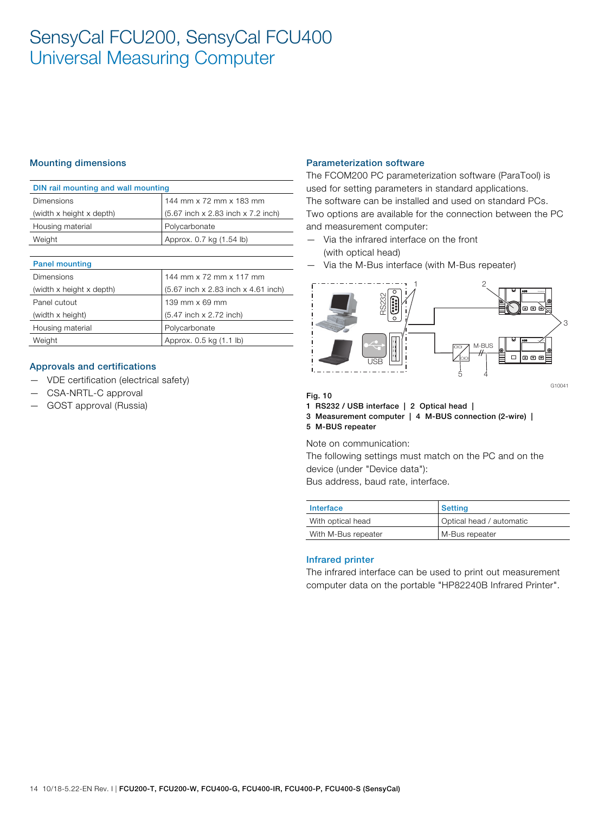### Mounting dimensions

| DIN rail mounting and wall mounting |                                    |  |  |
|-------------------------------------|------------------------------------|--|--|
| <b>Dimensions</b>                   | 144 mm x 72 mm x 183 mm            |  |  |
| (width x height x depth)            | (5.67 inch x 2.83 inch x 7.2 inch) |  |  |
| Housing material                    | Polycarbonate                      |  |  |
| Weight                              | Approx. 0.7 kg (1.54 lb)           |  |  |
|                                     |                                    |  |  |

| <b>Panel mounting</b>    |                                     |
|--------------------------|-------------------------------------|
| Dimensions               | 144 mm x 72 mm x 117 mm             |
| (width x height x depth) | (5.67 inch x 2.83 inch x 4.61 inch) |
| Panel cutout             | 139 mm x 69 mm                      |
| (width x height)         | (5.47 inch x 2.72 inch)             |
| Housing material         | Polycarbonate                       |
| Weight                   | Approx. 0.5 kg (1.1 lb)             |

#### Approvals and certifications

- VDE certification (electrical safety)
- CSA-NRTL-C approval
- GOST approval (Russia)

#### Parameterization software

The FCOM200 PC parameterization software (ParaTool) is used for setting parameters in standard applications. The software can be installed and used on standard PCs. Two options are available for the connection between the PC and measurement computer:

- Via the infrared interface on the front (with optical head)
- Via the M-Bus interface (with M-Bus repeater)



#### Fig. 10

1 RS232 / USB interface | 2 Optical head |

3 Measurement computer | 4 M-BUS connection (2-wire) | 5 M-BUS repeater

Note on communication:

The following settings must match on the PC and on the device (under "Device data"): Bus address, baud rate, interface.

| Interface           | <b>Setting</b>           |
|---------------------|--------------------------|
| With optical head   | Optical head / automatic |
| With M-Bus repeater | M-Bus repeater           |

### Infrared printer

The infrared interface can be used to print out measurement computer data on the portable "HP82240B Infrared Printer".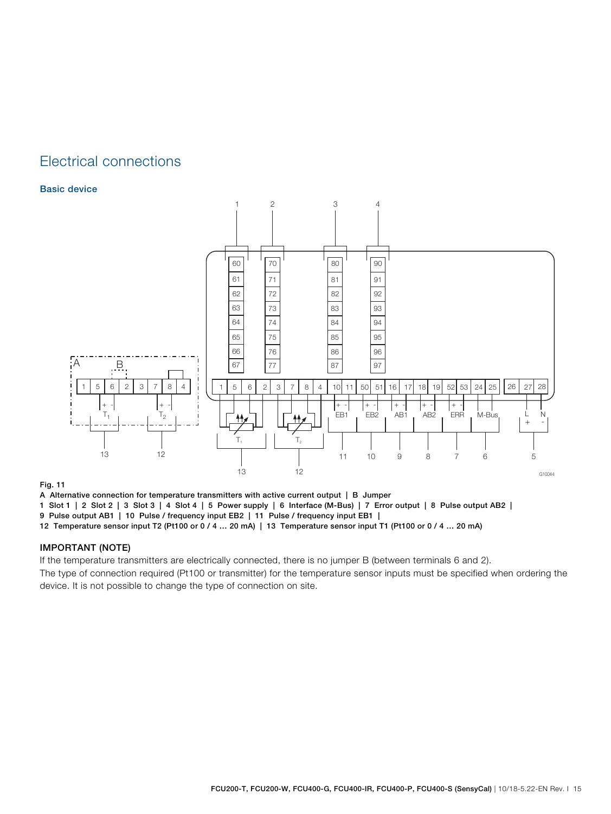## Electrical connections

### Basic device



#### Fig. 11

A Alternative connection for temperature transmitters with active current output | B Jumper

1 Slot 1 | 2 Slot 2 | 3 Slot 3 | 4 Slot 4 | 5 Power supply | 6 Interface (M-Bus) | 7 Error output | 8 Pulse output AB2 |

9 Pulse output AB1 | 10 Pulse / frequency input EB2 | 11 Pulse / frequency input EB1 |

12 Temperature sensor input T2 (Pt100 or 0 / 4 … 20 mA) | 13 Temperature sensor input T1 (Pt100 or 0 / 4 … 20 mA)

### IMPORTANT (NOTE)

If the temperature transmitters are electrically connected, there is no jumper B (between terminals 6 and 2).

The type of connection required (Pt100 or transmitter) for the temperature sensor inputs must be specified when ordering the device. It is not possible to change the type of connection on site.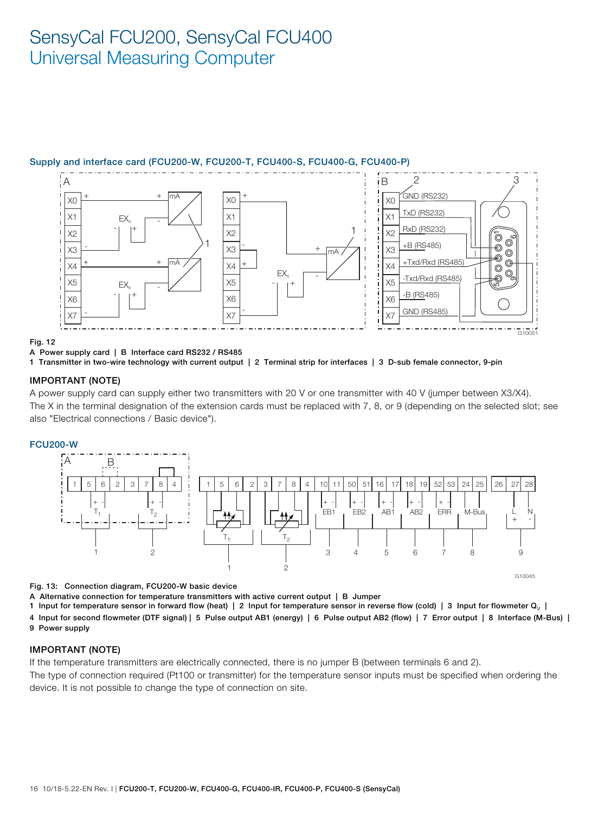## Supply and interface card (FCU200-W, FCU200-T, FCU400-S, FCU400-G, FCU400-P)



#### Fig. 12

#### A Power supply card | B Interface card RS232 / RS485

1 Transmitter in two-wire technology with current output | 2 Terminal strip for interfaces | 3 D-sub female connector, 9-pin

#### IMPORTANT (NOTE)

A power supply card can supply either two transmitters with 20 V or one transmitter with 40 V (jumper between X3/X4). The X in the terminal designation of the extension cards must be replaced with 7, 8, or 9 (depending on the selected slot; see also "Electrical connections / Basic device").

#### FCU200-W



Fig. 13: Connection diagram, FCU200-W basic device

A Alternative connection for temperature transmitters with active current output | B Jumper

1 Input for temperature sensor in forward flow (heat) | 2 Input for temperature sensor in reverse flow (cold) | 3 Input for flowmeter  $Q_V$  |

4 Input for second flowmeter (DTF signal) | 5 Pulse output AB1 (energy) | 6 Pulse output AB2 (flow) | 7 Error output | 8 Interface (M-Bus) | 9 Power supply

#### IMPORTANT (NOTE)

If the temperature transmitters are electrically connected, there is no jumper B (between terminals 6 and 2).

The type of connection required (Pt100 or transmitter) for the temperature sensor inputs must be specified when ordering the device. It is not possible to change the type of connection on site.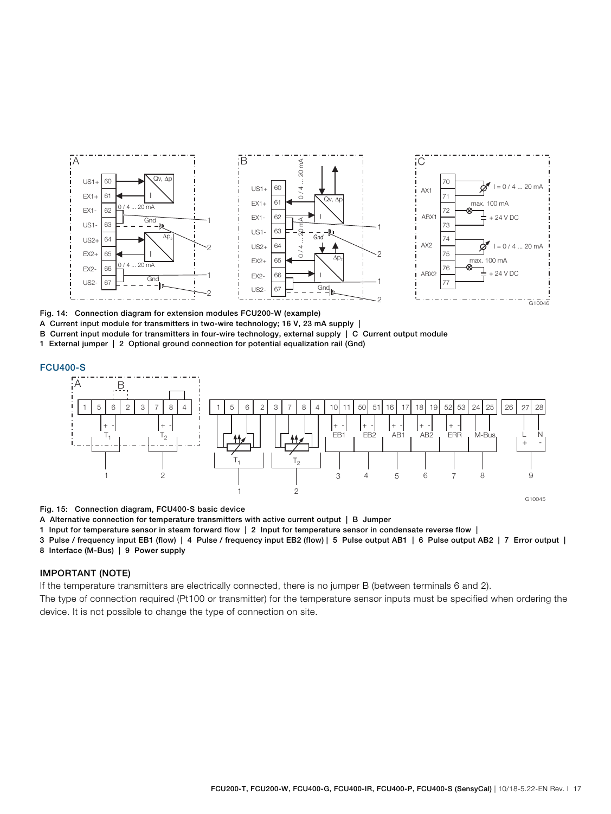

Fig. 14: Connection diagram for extension modules FCU200-W (example)

A Current input module for transmitters in two-wire technology; 16 V, 23 mA supply |

B Current input module for transmitters in four-wire technology, external supply | C Current output module

1 External jumper | 2 Optional ground connection for potential equalization rail (Gnd)

#### FCU400-S



Fig. 15: Connection diagram, FCU400-S basic device

A Alternative connection for temperature transmitters with active current output | B Jumper

1 Input for temperature sensor in steam forward flow | 2 Input for temperature sensor in condensate reverse flow |

3 Pulse / frequency input EB1 (flow) | 4 Pulse / frequency input EB2 (flow) | 5 Pulse output AB1 | 6 Pulse output AB2 | 7 Error output | 8 Interface (M-Bus) | 9 Power supply

### IMPORTANT (NOTE)

If the temperature transmitters are electrically connected, there is no jumper B (between terminals 6 and 2).

The type of connection required (Pt100 or transmitter) for the temperature sensor inputs must be specified when ordering the device. It is not possible to change the type of connection on site.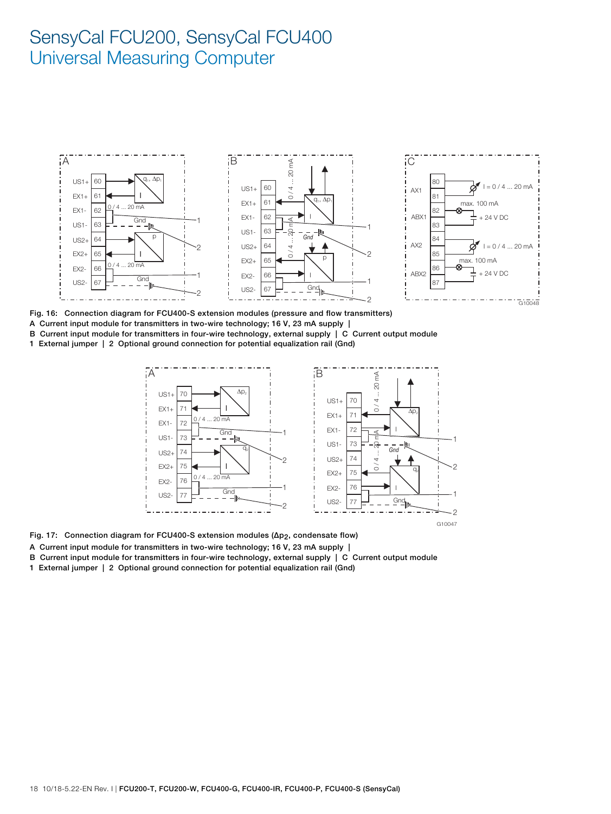

Fig. 16: Connection diagram for FCU400-S extension modules (pressure and flow transmitters) A Current input module for transmitters in two-wire technology; 16 V, 23 mA supply | B Current input module for transmitters in four-wire technology, external supply | C Current output module

1 External jumper | 2 Optional ground connection for potential equalization rail (Gnd)



Fig. 17: Connection diagram for FCU400-S extension modules (Δp2, condensate flow)

- A Current input module for transmitters in two-wire technology; 16 V, 23 mA supply |
- B Current input module for transmitters in four-wire technology, external supply | C Current output module
- 1 External jumper | 2 Optional ground connection for potential equalization rail (Gnd)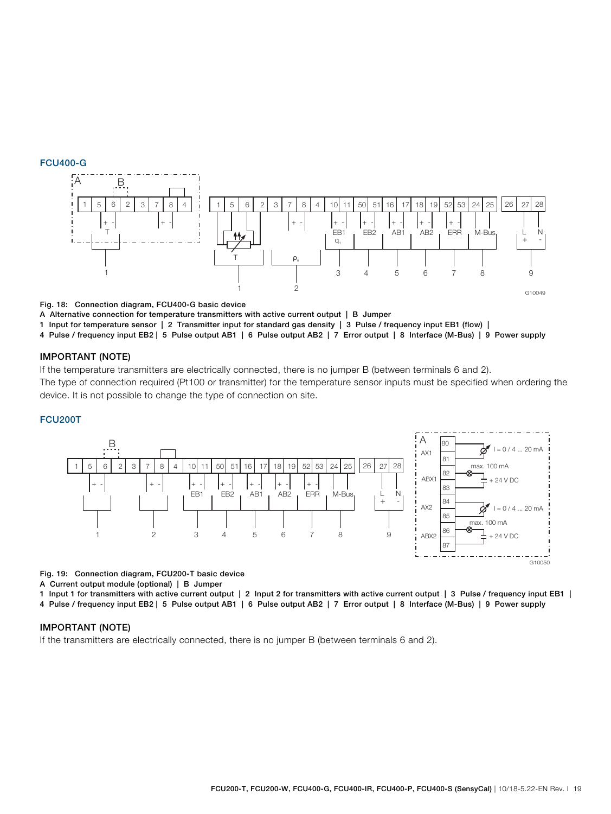#### FCU400-G



Fig. 18: Connection diagram, FCU400-G basic device

A Alternative connection for temperature transmitters with active current output | B Jumper

1 Input for temperature sensor | 2 Transmitter input for standard gas density | 3 Pulse / frequency input EB1 (flow) |

4 Pulse / frequency input EB2 | 5 Pulse output AB1 | 6 Pulse output AB2 | 7 Error output | 8 Interface (M-Bus) | 9 Power supply

#### IMPORTANT (NOTE)

If the temperature transmitters are electrically connected, there is no jumper B (between terminals 6 and 2). The type of connection required (Pt100 or transmitter) for the temperature sensor inputs must be specified when ordering the device. It is not possible to change the type of connection on site.

#### FCU200T



Fig. 19: Connection diagram, FCU200-T basic device

A Current output module (optional) | B Jumper

1 Input 1 for transmitters with active current output | 2 Input 2 for transmitters with active current output | 3 Pulse / frequency input EB1 |

4 Pulse / frequency input EB2 | 5 Pulse output AB1 | 6 Pulse output AB2 | 7 Error output | 8 Interface (M-Bus) | 9 Power supply

### IMPORTANT (NOTE)

If the transmitters are electrically connected, there is no jumper B (between terminals 6 and 2).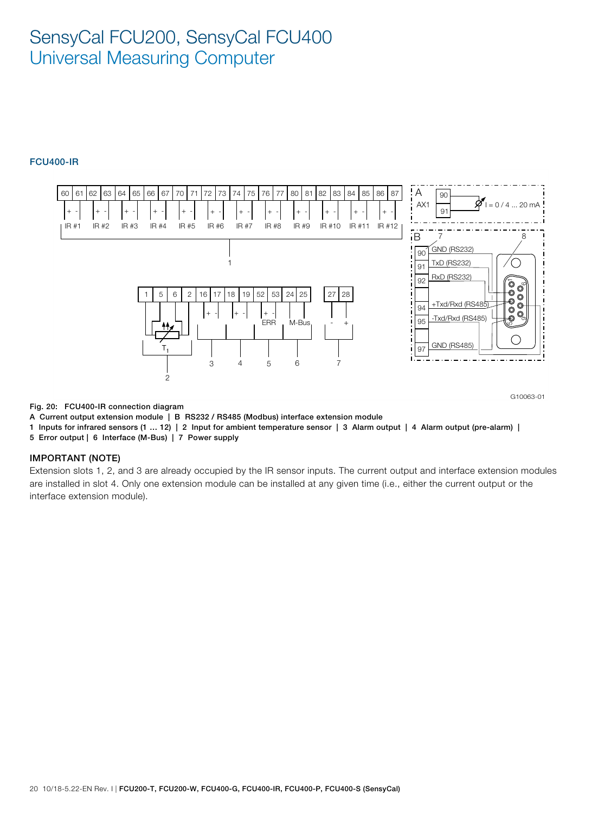### FCU400-IR



Fig. 20: FCU400-IR connection diagram

A Current output extension module | B RS232 / RS485 (Modbus) interface extension module

1 Inputs for infrared sensors (1 … 12) | 2 Input for ambient temperature sensor | 3 Alarm output | 4 Alarm output (pre-alarm) |

5 Error output | 6 Interface (M-Bus) | 7 Power supply

### IMPORTANT (NOTE)

Extension slots 1, 2, and 3 are already occupied by the IR sensor inputs. The current output and interface extension modules are installed in slot 4. Only one extension module can be installed at any given time (i.e., either the current output or the interface extension module).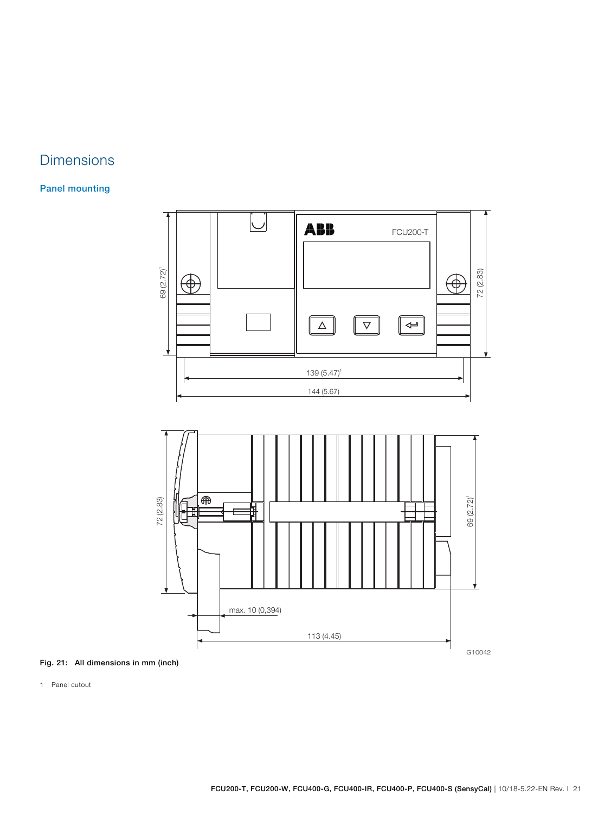## **Dimensions**

## Panel mounting



## Fig. 21: All dimensions in mm (inch)

1 Panel cutout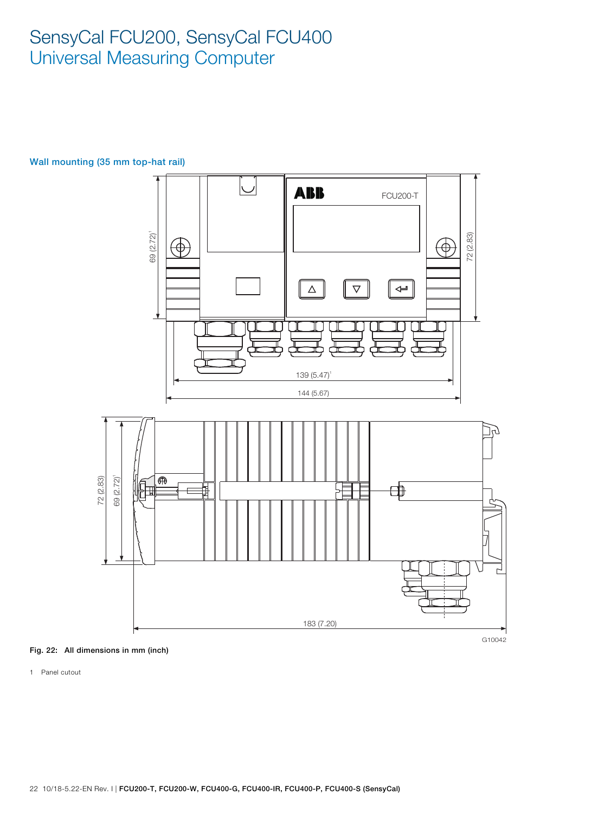

## Wall mounting (35 mm top-hat rail)



1 Panel cutout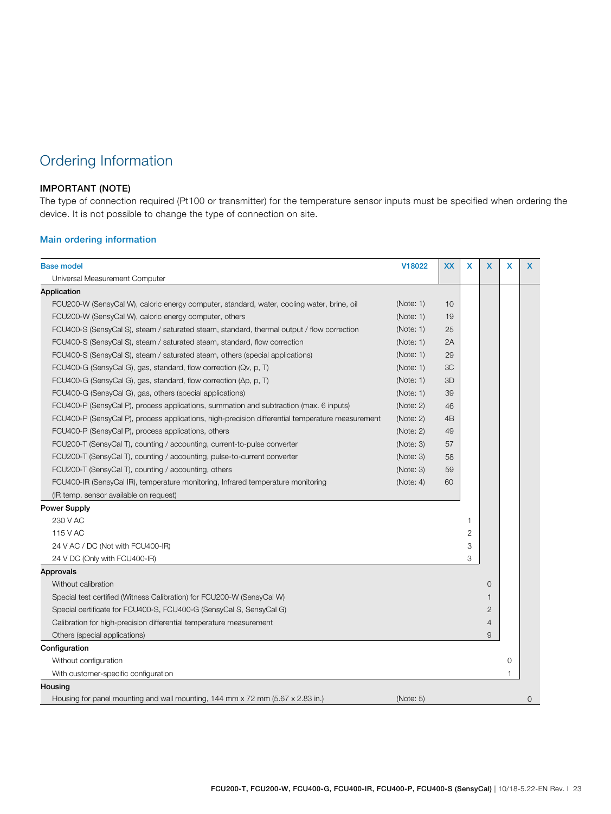## Ordering Information

### IMPORTANT (NOTE)

The type of connection required (Pt100 or transmitter) for the temperature sensor inputs must be specified when ordering the device. It is not possible to change the type of connection on site.

### Main ordering information

| <b>Base model</b>                                                                                | V18022    | <b>XX</b>      | x | x              | x | X           |
|--------------------------------------------------------------------------------------------------|-----------|----------------|---|----------------|---|-------------|
| Universal Measurement Computer                                                                   |           |                |   |                |   |             |
| Application                                                                                      |           |                |   |                |   |             |
| FCU200-W (SensyCal W), caloric energy computer, standard, water, cooling water, brine, oil       | (Note: 1) | 10             |   |                |   |             |
| FCU200-W (SensyCal W), caloric energy computer, others                                           | (Note: 1) | 19             |   |                |   |             |
| FCU400-S (SensyCal S), steam / saturated steam, standard, thermal output / flow correction       | (Note: 1) | 25             |   |                |   |             |
| FCU400-S (SensyCal S), steam / saturated steam, standard, flow correction                        | (Note: 1) | 2A             |   |                |   |             |
| FCU400-S (SensyCal S), steam / saturated steam, others (special applications)                    | (Note: 1) | 29             |   |                |   |             |
| FCU400-G (SensyCal G), gas, standard, flow correction (Qv, p, T)                                 | (Note: 1) | 3C             |   |                |   |             |
| FCU400-G (SensyCal G), gas, standard, flow correction ( $\Delta p$ , p, T)                       | (Note: 1) | 3D             |   |                |   |             |
| FCU400-G (SensyCal G), gas, others (special applications)                                        | (Note: 1) | 39             |   |                |   |             |
| FCU400-P (SensyCal P), process applications, summation and subtraction (max. 6 inputs)           | (Note: 2) | 46             |   |                |   |             |
| FCU400-P (SensyCal P), process applications, high-precision differential temperature measurement | (Note: 2) | 4 <sub>B</sub> |   |                |   |             |
| FCU400-P (SensyCal P), process applications, others                                              | (Note: 2) | 49             |   |                |   |             |
| FCU200-T (SensyCal T), counting / accounting, current-to-pulse converter                         | (Note: 3) | 57             |   |                |   |             |
| FCU200-T (SensyCal T), counting / accounting, pulse-to-current converter                         | (Note: 3) | 58             |   |                |   |             |
| FCU200-T (SensyCal T), counting / accounting, others                                             | (Note: 3) | 59             |   |                |   |             |
| FCU400-IR (SensyCal IR), temperature monitoring, Infrared temperature monitoring                 | (Note: 4) | 60             |   |                |   |             |
| (IR temp. sensor available on request)                                                           |           |                |   |                |   |             |
| <b>Power Supply</b>                                                                              |           |                |   |                |   |             |
| 230 V AC                                                                                         |           |                | 1 |                |   |             |
| 115 V AC                                                                                         |           |                | 2 |                |   |             |
| 24 V AC / DC (Not with FCU400-IR)                                                                |           |                | 3 |                |   |             |
| 24 V DC (Only with FCU400-IR)                                                                    |           |                | 3 |                |   |             |
| Approvals                                                                                        |           |                |   |                |   |             |
| Without calibration                                                                              |           |                |   | 0              |   |             |
| Special test certified (Witness Calibration) for FCU200-W (SensyCal W)                           |           |                |   | 1              |   |             |
| Special certificate for FCU400-S, FCU400-G (SensyCal S, SensyCal G)                              |           |                |   | $\overline{2}$ |   |             |
| Calibration for high-precision differential temperature measurement                              |           |                |   | 4              |   |             |
| Others (special applications)                                                                    |           |                |   | 9              |   |             |
| Configuration                                                                                    |           |                |   |                |   |             |
| Without configuration                                                                            |           |                |   |                | 0 |             |
| With customer-specific configuration                                                             |           |                |   |                | 1 |             |
| Housing                                                                                          |           |                |   |                |   |             |
| Housing for panel mounting and wall mounting, 144 mm x 72 mm (5.67 x 2.83 in.)                   | (Note: 5) |                |   |                |   | $\mathbf 0$ |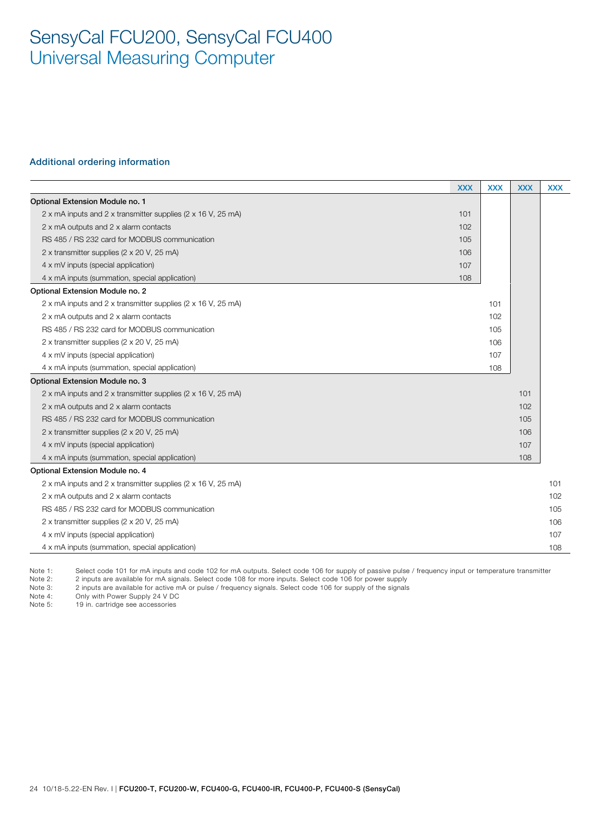#### Additional ordering information

|                                                              | <b>XXX</b> | <b>XXX</b> | <b>XXX</b> | <b>XXX</b> |
|--------------------------------------------------------------|------------|------------|------------|------------|
| Optional Extension Module no. 1                              |            |            |            |            |
| 2 x mA inputs and 2 x transmitter supplies (2 x 16 V, 25 mA) | 101        |            |            |            |
| 2 x mA outputs and 2 x alarm contacts                        | 102        |            |            |            |
| RS 485 / RS 232 card for MODBUS communication                | 105        |            |            |            |
| 2 x transmitter supplies (2 x 20 V, 25 mA)                   | 106        |            |            |            |
| 4 x mV inputs (special application)                          | 107        |            |            |            |
| 4 x mA inputs (summation, special application)               | 108        |            |            |            |
| Optional Extension Module no. 2                              |            |            |            |            |
| 2 x mA inputs and 2 x transmitter supplies (2 x 16 V, 25 mA) |            | 101        |            |            |
| 2 x mA outputs and 2 x alarm contacts                        |            | 102        |            |            |
| RS 485 / RS 232 card for MODBUS communication                |            | 105        |            |            |
| 2 x transmitter supplies (2 x 20 V, 25 mA)                   |            | 106        |            |            |
| 4 x mV inputs (special application)                          |            | 107        |            |            |
| 4 x mA inputs (summation, special application)               |            | 108        |            |            |
| Optional Extension Module no. 3                              |            |            |            |            |
| 2 x mA inputs and 2 x transmitter supplies (2 x 16 V, 25 mA) |            |            | 101        |            |
| 2 x mA outputs and 2 x alarm contacts                        |            |            | 102        |            |
| RS 485 / RS 232 card for MODBUS communication                |            |            | 105        |            |
| 2 x transmitter supplies (2 x 20 V, 25 mA)                   |            |            | 106        |            |
| 4 x mV inputs (special application)                          |            |            | 107        |            |
| 4 x mA inputs (summation, special application)               |            |            | 108        |            |
| Optional Extension Module no. 4                              |            |            |            |            |
| 2 x mA inputs and 2 x transmitter supplies (2 x 16 V, 25 mA) |            |            |            | 101        |
| 2 x mA outputs and 2 x alarm contacts                        |            |            |            | 102        |
| RS 485 / RS 232 card for MODBUS communication                |            |            |            | 105        |
| 2 x transmitter supplies (2 x 20 V, 25 mA)                   |            |            |            | 106        |
| 4 x mV inputs (special application)                          |            |            |            | 107        |
| 4 x mA inputs (summation, special application)               |            |            |            | 108        |

Note 1: Select code 101 for mA inputs and code 102 for mA outputs. Select code 106 for supply of passive pulse / frequency input or temperature transmitter

Note 2: 2 inputs are available for mA signals. Select code 108 for more inputs. Select code 106 for power supply

Note 3: 2 inputs are available for active mA or pulse / frequency signals. Select code 106 for supply of the signals

Note 4: Only with Power Supply 24 V DC<br>Note 5: 19 in. cartridge see accessories

19 in. cartridge see accessories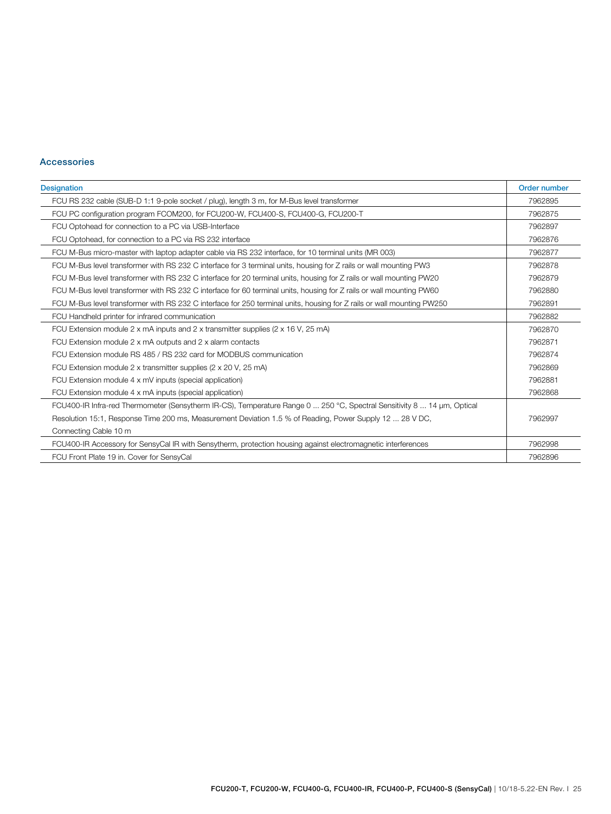### Accessories

| <b>Designation</b>                                                                                                      | Order number |
|-------------------------------------------------------------------------------------------------------------------------|--------------|
| FCU RS 232 cable (SUB-D 1:1 9-pole socket / plug), length 3 m, for M-Bus level transformer                              | 7962895      |
| FCU PC configuration program FCOM200, for FCU200-W, FCU400-S, FCU400-G, FCU200-T                                        | 7962875      |
| FCU Optohead for connection to a PC via USB-Interface                                                                   | 7962897      |
| FCU Optohead, for connection to a PC via RS 232 interface                                                               | 7962876      |
| FCU M-Bus micro-master with laptop adapter cable via RS 232 interface, for 10 terminal units (MR 003)                   | 7962877      |
| FCU M-Bus level transformer with RS 232 C interface for 3 terminal units, housing for Z rails or wall mounting PW3      | 7962878      |
| FCU M-Bus level transformer with RS 232 C interface for 20 terminal units, housing for Z rails or wall mounting PW20    | 7962879      |
| FCU M-Bus level transformer with RS 232 C interface for 60 terminal units, housing for Z rails or wall mounting PW60    | 7962880      |
| FCU M-Bus level transformer with RS 232 C interface for 250 terminal units, housing for Z rails or wall mounting PW250  | 7962891      |
| FCU Handheld printer for infrared communication                                                                         | 7962882      |
| FCU Extension module 2 x mA inputs and 2 x transmitter supplies ( $2 \times 16$ V, $25$ mA)                             | 7962870      |
| FCU Extension module 2 x mA outputs and 2 x alarm contacts                                                              | 7962871      |
| FCU Extension module RS 485 / RS 232 card for MODBUS communication                                                      | 7962874      |
| FCU Extension module 2 x transmitter supplies (2 x 20 V, 25 mA)                                                         | 7962869      |
| FCU Extension module 4 x mV inputs (special application)                                                                | 7962881      |
| FCU Extension module 4 x mA inputs (special application)                                                                | 7962868      |
| FCU400-IR Infra-red Thermometer (Sensytherm IR-CS), Temperature Range 0  250 °C, Spectral Sensitivity 8  14 µm, Optical |              |
| Resolution 15:1, Response Time 200 ms, Measurement Deviation 1.5 % of Reading, Power Supply 12  28 V DC,                | 7962997      |
| Connecting Cable 10 m                                                                                                   |              |
| FCU400-IR Accessory for SensyCal IR with Sensytherm, protection housing against electromagnetic interferences           | 7962998      |
| FCU Front Plate 19 in. Cover for SensyCal                                                                               | 7962896      |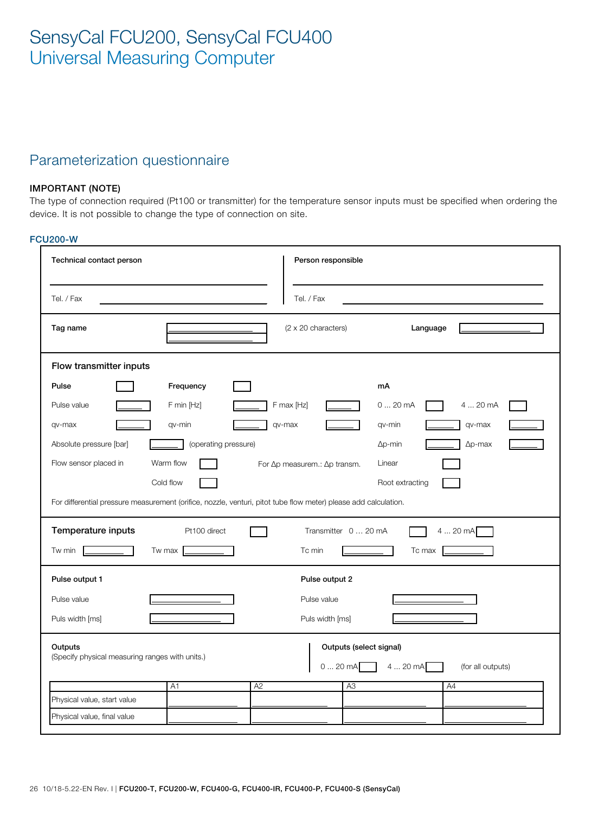## Parameterization questionnaire

## IMPORTANT (NOTE)

The type of connection required (Pt100 or transmitter) for the temperature sensor inputs must be specified when ordering the device. It is not possible to change the type of connection on site.

### FCU200-W

| Technical contact person                                   |                                                                                                                 | Person responsible                     |                               |
|------------------------------------------------------------|-----------------------------------------------------------------------------------------------------------------|----------------------------------------|-------------------------------|
| Tel. / Fax                                                 |                                                                                                                 | Tel. / Fax                             |                               |
| Tag name                                                   |                                                                                                                 | (2 x 20 characters)                    | Language                      |
| Flow transmitter inputs                                    |                                                                                                                 |                                        |                               |
| Pulse                                                      | Frequency                                                                                                       | mA                                     |                               |
| Pulse value                                                | F min [Hz]                                                                                                      | F max [Hz]<br>020mA                    | 4  20 mA                      |
| qv-max                                                     | qv-min<br>qv-max                                                                                                | qv-min                                 | qv-max                        |
| Absolute pressure [bar]                                    | (operating pressure)                                                                                            | $\Delta p$ -min                        | $\Delta p$ -max               |
| Flow sensor placed in                                      | Warm flow                                                                                                       | For ∆p measurem.: ∆p transm.<br>Linear |                               |
|                                                            | Cold flow                                                                                                       |                                        | Root extracting               |
|                                                            | For differential pressure measurement (orifice, nozzle, venturi, pitot tube flow meter) please add calculation. |                                        |                               |
| Temperature inputs                                         | Pt100 direct                                                                                                    | Transmitter 0  20 mA                   | 420mA                         |
| Tw min                                                     | Tw max                                                                                                          | Tc min                                 | Tc max                        |
| Pulse output 1                                             |                                                                                                                 | Pulse output 2                         |                               |
| Pulse value                                                |                                                                                                                 | Pulse value                            |                               |
| Puls width [ms]                                            |                                                                                                                 | Puls width [ms]                        |                               |
| Outputs<br>(Specify physical measuring ranges with units.) |                                                                                                                 | Outputs (select signal)<br>020mA       | 4  20 mA<br>(for all outputs) |
|                                                            | A2<br>A <sub>1</sub>                                                                                            | A3                                     | A4                            |
| Physical value, start value<br>Physical value, final value |                                                                                                                 |                                        |                               |
|                                                            |                                                                                                                 |                                        |                               |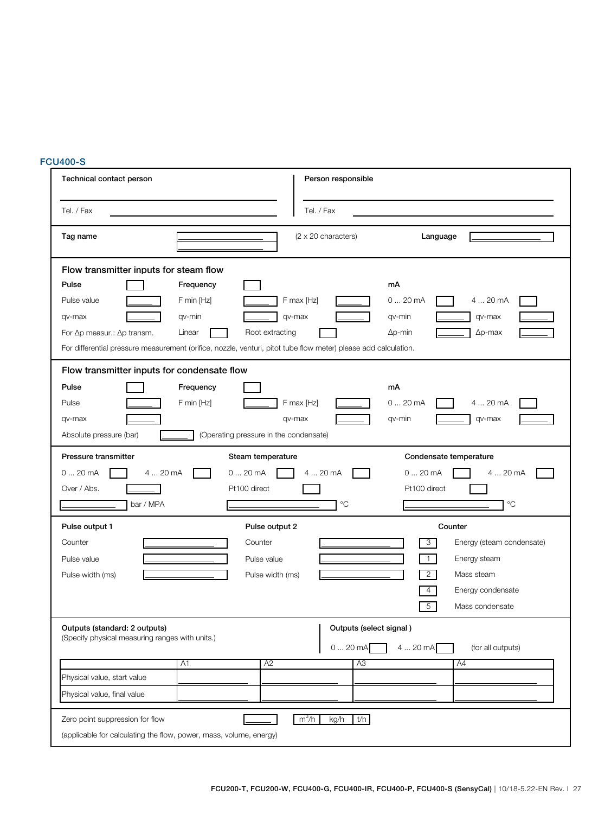# **FCU400-S**

| Technical contact person                                                                                                                                         | Person responsible                                                                                                                                                                                                                              |
|------------------------------------------------------------------------------------------------------------------------------------------------------------------|-------------------------------------------------------------------------------------------------------------------------------------------------------------------------------------------------------------------------------------------------|
| Tel. / Fax                                                                                                                                                       | Tel. / Fax                                                                                                                                                                                                                                      |
| Tag name                                                                                                                                                         | $(2 \times 20$ characters)<br>Language                                                                                                                                                                                                          |
| Flow transmitter inputs for steam flow<br>Pulse<br>Frequency<br>Pulse value<br>F min [Hz]<br>qv-max<br>qv-min<br>For ∆p measur.: ∆p transm.<br>Linear            | mA<br>F max [Hz]<br>020mA<br>4  20 mA<br>qv-max<br>qv-min<br>qv-max<br>Root extracting<br>$\Delta p$ -max<br>$\Delta p$ -min<br>For differential pressure measurement (orifice, nozzle, venturi, pitot tube flow meter) please add calculation. |
| Flow transmitter inputs for condensate flow<br>Pulse<br>Frequency<br>F min [Hz]<br>Pulse<br>qv-max<br>Absolute pressure (bar)                                    | mA<br>020mA<br>F max [Hz]<br>4  20 mA<br>qv-max<br>qv-max<br>qv-min<br>(Operating pressure in the condensate)                                                                                                                                   |
| Pressure transmitter<br>020mA<br>4  20 mA<br>Over / Abs.<br>bar / MPA                                                                                            | Steam temperature<br>Condensate temperature<br>020mA<br>4  20 mA<br>020mA<br>4  20 mA<br>Pt100 direct<br>Pt100 direct<br>$^{\circ}C$<br>$^{\circ}C$                                                                                             |
| Pulse output 1<br>Counter<br>Pulse value<br>Pulse width (ms)                                                                                                     | Pulse output 2<br>Counter<br>Counter<br>3<br>Energy (steam condensate)<br>Energy steam<br>Pulse value<br>1.<br>$\overline{2}$<br>Mass steam<br>Pulse width (ms)<br>4<br>Energy condensate<br>5 <sup>5</sup><br>Mass condensate                  |
| Outputs (standard: 2 outputs)<br>(Specify physical measuring ranges with units.)<br>A <sub>1</sub><br>Physical value, start value<br>Physical value, final value | Outputs (select signal)<br>420mA<br>020mA<br>(for all outputs)<br>A2<br>A <sub>3</sub><br>A4                                                                                                                                                    |
| Zero point suppression for flow<br>(applicable for calculating the flow, power, mass, volume, energy)                                                            | m <sup>3</sup> /h<br>kg/h<br>t/h                                                                                                                                                                                                                |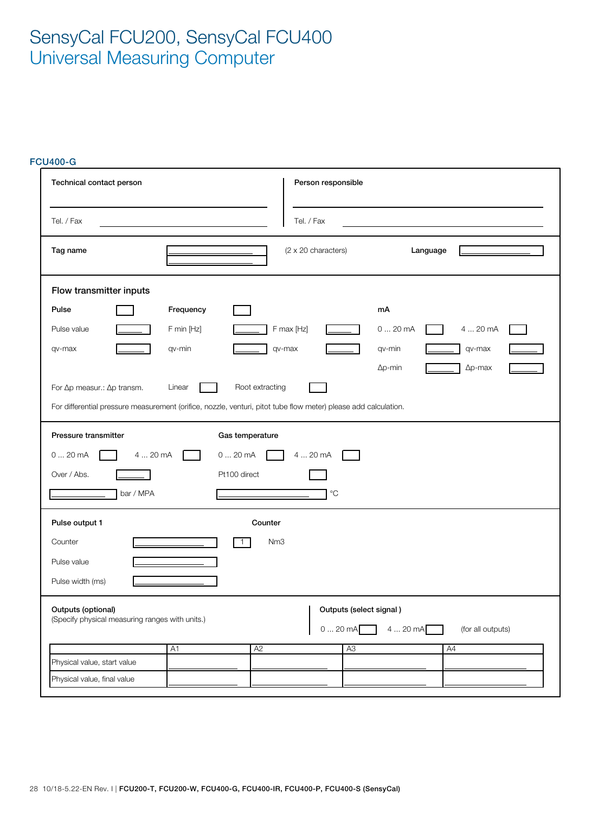## FCU400-G

| Technical contact person                                              |                       | Person responsible                                                                                                                 |                                                                  |
|-----------------------------------------------------------------------|-----------------------|------------------------------------------------------------------------------------------------------------------------------------|------------------------------------------------------------------|
| Tel. / Fax                                                            |                       | Tel. / Fax                                                                                                                         |                                                                  |
| Tag name                                                              |                       | (2 x 20 characters)                                                                                                                | Language                                                         |
| Flow transmitter inputs                                               |                       |                                                                                                                                    |                                                                  |
| Pulse                                                                 | Frequency             |                                                                                                                                    | mA                                                               |
| Pulse value                                                           | F min [Hz]            | F max [Hz]                                                                                                                         | 020mA<br>4  20 mA                                                |
| qv-max                                                                | qv-min                | qv-max                                                                                                                             | qv-max<br>qv-min                                                 |
|                                                                       |                       |                                                                                                                                    | $\Delta p$ -max<br>$\Delta p$ -min                               |
| For $\Delta p$ measur.: $\Delta p$ transm.                            | Linear                | Root extracting<br>For differential pressure measurement (orifice, nozzle, venturi, pitot tube flow meter) please add calculation. |                                                                  |
| Pressure transmitter<br>020mA<br>4  20 mA<br>Over / Abs.<br>bar / MPA | 020mA<br>Pt100 direct | Gas temperature<br>4  20 mA<br>$^{\circ}C$                                                                                         |                                                                  |
| Pulse output 1                                                        |                       | Counter                                                                                                                            |                                                                  |
| Counter                                                               |                       | $\mathbf{1}$<br>Nm <sub>3</sub>                                                                                                    |                                                                  |
| Pulse value                                                           |                       |                                                                                                                                    |                                                                  |
| Pulse width (ms)                                                      |                       |                                                                                                                                    |                                                                  |
| Outputs (optional)<br>(Specify physical measuring ranges with units.) |                       | $0 20 \text{ mA}$                                                                                                                  | Outputs (select signal)<br>$420 \text{ mA}$<br>(for all outputs) |
|                                                                       | A <sub>1</sub>        | A2<br>A3                                                                                                                           | A4                                                               |
| Physical value, start value                                           |                       |                                                                                                                                    |                                                                  |
| Physical value, final value                                           |                       |                                                                                                                                    |                                                                  |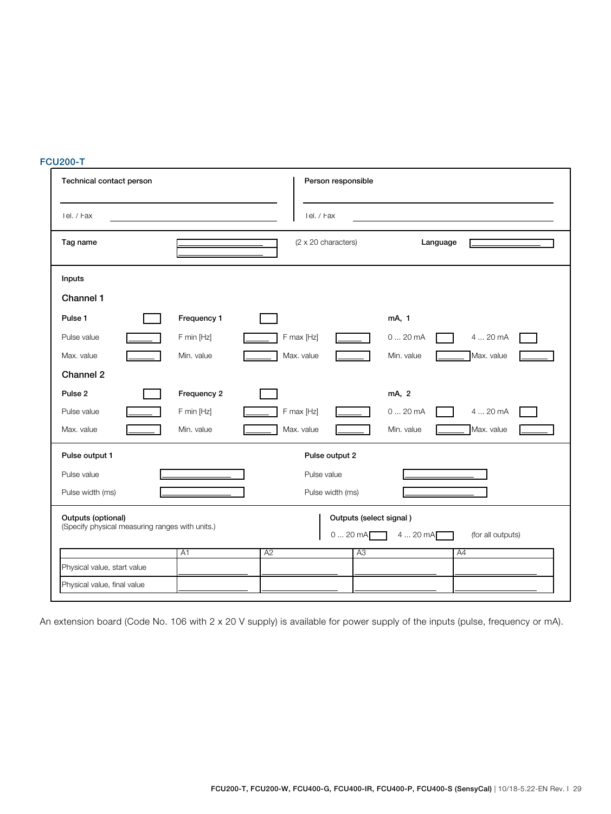## FCU200-T

| Technical contact person                                              |             | Person responsible                                 |                               |
|-----------------------------------------------------------------------|-------------|----------------------------------------------------|-------------------------------|
| Tel. / Fax                                                            |             | Tel. / Fax                                         |                               |
| Tag name                                                              |             | (2 x 20 characters)                                | Language                      |
| Inputs                                                                |             |                                                    |                               |
| Channel 1                                                             |             |                                                    |                               |
| Pulse 1                                                               | Frequency 1 |                                                    | mA, 1                         |
| Pulse value                                                           | F min [Hz]  | F max [Hz]                                         | 020mA<br>4  20 mA             |
| Max. value                                                            | Min. value  | Max. value                                         | Max. value<br>Min. value      |
| Channel 2                                                             |             |                                                    |                               |
| Pulse <sub>2</sub>                                                    | Frequency 2 |                                                    | mA, 2                         |
| Pulse value                                                           | F min [Hz]  | F max [Hz]                                         | 4  20 mA<br>020mA             |
| Max. value                                                            | Min. value  | Max. value                                         | Max. value<br>Min. value      |
| Pulse output 1                                                        |             | Pulse output 2                                     |                               |
| Pulse value                                                           |             | Pulse value                                        |                               |
| Pulse width (ms)                                                      |             | Pulse width (ms)                                   |                               |
| Outputs (optional)<br>(Specify physical measuring ranges with units.) |             | Outputs (select signal)<br>$020$ mA $\blacksquare$ | 4  20 mA<br>(for all outputs) |
|                                                                       | A1          | A <sub>2</sub><br>A3                               | A4                            |
| Physical value, start value                                           |             |                                                    |                               |
| Physical value, final value                                           |             |                                                    |                               |

An extension board (Code No. 106 with 2 x 20 V supply) is available for power supply of the inputs (pulse, frequency or mA).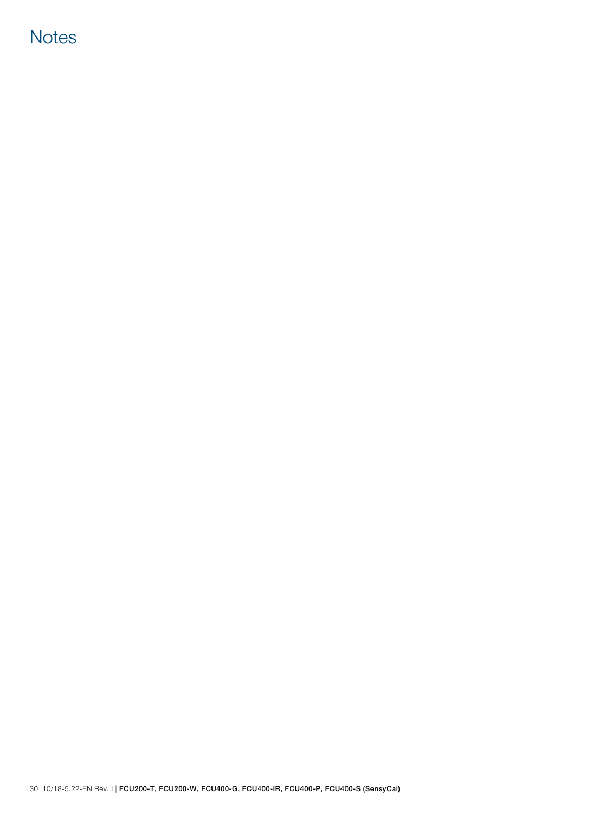# **Notes**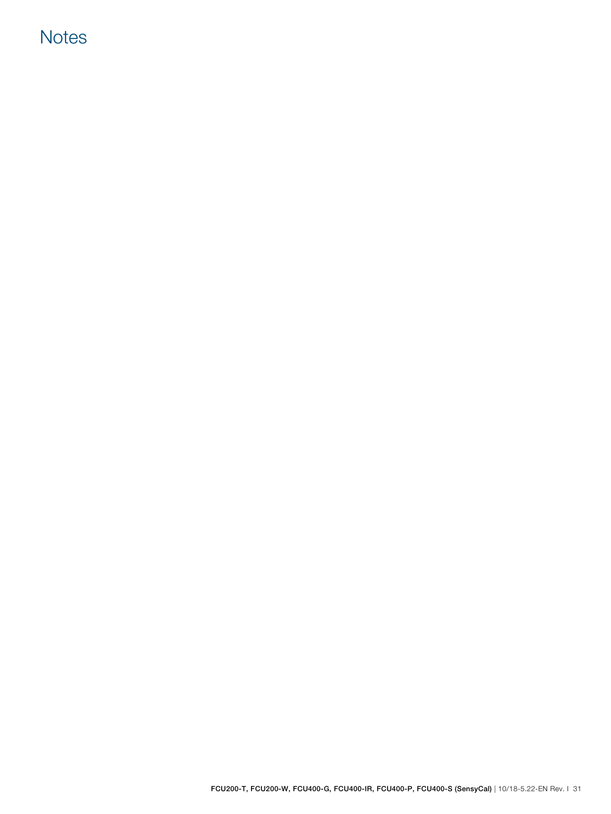# **Notes**